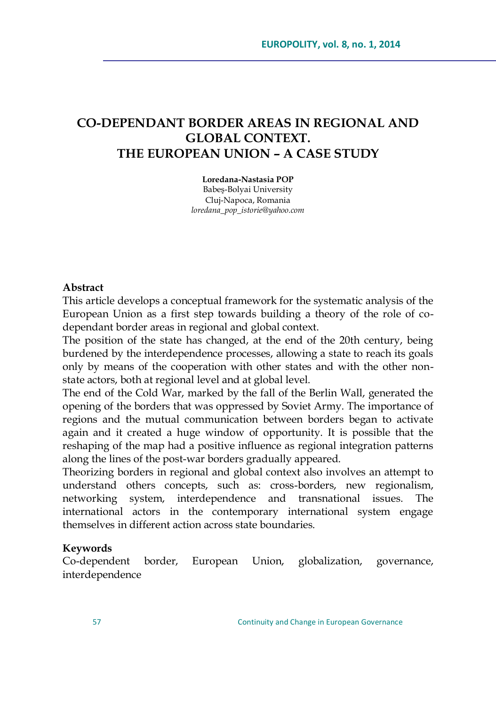# **CO-DEPENDANT BORDER AREAS IN REGIONAL AND GLOBAL CONTEXT. THE EUROPEAN UNION – A CASE STUDY**

**Loredana-Nastasia POP**

Babeş-Bolyai University Cluj-Napoca, Romania *loredana\_pop\_istorie@yahoo.com*

#### **Abstract**

This article develops a conceptual framework for the systematic analysis of the European Union as a first step towards building a theory of the role of codependant border areas in regional and global context.

The position of the state has changed, at the end of the 20th century, being burdened by the interdependence processes, allowing a state to reach its goals only by means of the cooperation with other states and with the other nonstate actors, both at regional level and at global level.

The end of the Cold War, marked by the fall of the Berlin Wall, generated the opening of the borders that was oppressed by Soviet Army. The importance of regions and the mutual communication between borders began to activate again and it created a huge window of opportunity. It is possible that the reshaping of the map had a positive influence as regional integration patterns along the lines of the post-war borders gradually appeared.

Theorizing borders in regional and global context also involves an attempt to understand others concepts, such as: cross-borders, new regionalism, networking system, interdependence and transnational issues. The international actors in the contemporary international system engage themselves in different action across state boundaries.

#### **Keywords**

Co-dependent border, European Union, globalization, governance, interdependence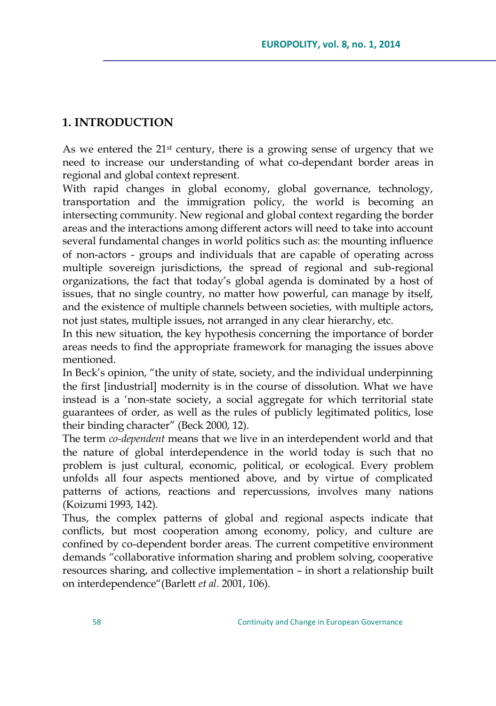## **1. INTRODUCTION**

As we entered the  $21<sup>st</sup>$  century, there is a growing sense of urgency that we need to increase our understanding of what co-dependant border areas in regional and global context represent.

With rapid changes in global economy, global governance, technology, transportation and the immigration policy, the world is becoming an intersecting community. New regional and global context regarding the border areas and the interactions among different actors will need to take into account several fundamental changes in world politics such as: the mounting influence of non-actors - groups and individuals that are capable of operating across multiple sovereign jurisdictions, the spread of regional and sub-regional organizations, the fact that today"s global agenda is dominated by a host of issues, that no single country, no matter how powerful, can manage by itself, and the existence of multiple channels between societies, with multiple actors, not just states, multiple issues, not arranged in any clear hierarchy, etc.

In this new situation, the key hypothesis concerning the importance of border areas needs to find the appropriate framework for managing the issues above mentioned.

In Beck's opinion, "the unity of state, society, and the individual underpinning the first [industrial] modernity is in the course of dissolution. What we have instead is a "non-state society, a social aggregate for which territorial state guarantees of order, as well as the rules of publicly legitimated politics, lose their binding character" (Beck 2000, 12).

The term *co-dependent* means that we live in an interdependent world and that the nature of global interdependence in the world today is such that no problem is just cultural, economic, political, or ecological. Every problem unfolds all four aspects mentioned above, and by virtue of complicated patterns of actions, reactions and repercussions, involves many nations (Koizumi 1993, 142).

Thus, the complex patterns of global and regional aspects indicate that conflicts, but most cooperation among economy, policy, and culture are confined by co-dependent border areas. The current competitive environment demands "collaborative information sharing and problem solving, cooperative resources sharing, and collective implementation – in short a relationship built on interdependence"(Barlett *et al*. 2001, 106).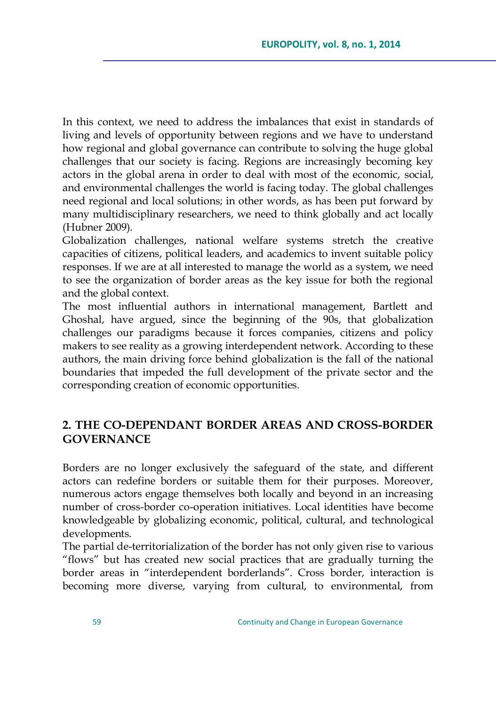In this context, we need to address the imbalances that exist in standards of living and levels of opportunity between regions and we have to understand how regional and global governance can contribute to solving the huge global challenges that our society is facing. Regions are increasingly becoming key actors in the global arena in order to deal with most of the economic, social, and environmental challenges the world is facing today. The global challenges need regional and local solutions; in other words, as has been put forward by many multidisciplinary researchers, we need to think globally and act locally (Hubner 2009).

Globalization challenges, national welfare systems stretch the creative capacities of citizens, political leaders, and academics to invent suitable policy responses. If we are at all interested to manage the world as a system, we need to see the organization of border areas as the key issue for both the regional and the global context.

The most influential authors in international management, Bartlett and Ghoshal, have argued, since the beginning of the 90s, that globalization challenges our paradigms because it forces companies, citizens and policy makers to see reality as a growing interdependent network. According to these authors, the main driving force behind globalization is the fall of the national boundaries that impeded the full development of the private sector and the corresponding creation of economic opportunities.

### **2. THE CO-DEPENDANT BORDER AREAS AND CROSS-BORDER GOVERNANCE**

Borders are no longer exclusively the safeguard of the state, and different actors can redefine borders or suitable them for their purposes. Moreover, numerous actors engage themselves both locally and beyond in an increasing number of cross-border co-operation initiatives. Local identities have become knowledgeable by globalizing economic, political, cultural, and technological developments.

The partial de-territorialization of the border has not only given rise to various "flows" but has created new social practices that are gradually turning the border areas in "interdependent borderlands". Cross border, interaction is becoming more diverse, varying from cultural, to environmental, from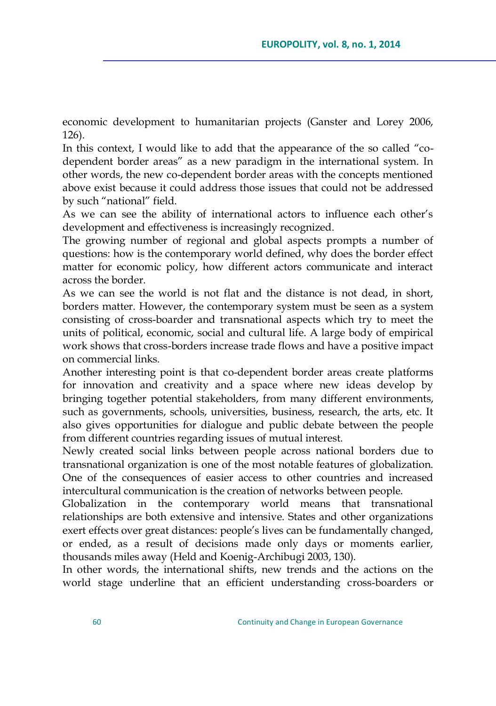economic development to humanitarian projects (Ganster and Lorey 2006, 126).

In this context, I would like to add that the appearance of the so called "codependent border areas" as a new paradigm in the international system. In other words, the new co-dependent border areas with the concepts mentioned above exist because it could address those issues that could not be addressed by such "national" field.

As we can see the ability of international actors to influence each other"s development and effectiveness is increasingly recognized.

The growing number of regional and global aspects prompts a number of questions: how is the contemporary world defined, why does the border effect matter for economic policy, how different actors communicate and interact across the border.

As we can see the world is not flat and the distance is not dead, in short, borders matter. However, the contemporary system must be seen as a system consisting of cross-boarder and transnational aspects which try to meet the units of political, economic, social and cultural life. A large body of empirical work shows that cross-borders increase trade flows and have a positive impact on commercial links.

Another interesting point is that co-dependent border areas create platforms for innovation and creativity and a space where new ideas develop by bringing together potential stakeholders, from many different environments, such as governments, schools, universities, business, research, the arts, etc. It also gives opportunities for dialogue and public debate between the people from different countries regarding issues of mutual interest.

Newly created social links between people across national borders due to transnational organization is one of the most notable features of globalization. One of the consequences of easier access to other countries and increased intercultural communication is the creation of networks between people.

Globalization in the contemporary world means that transnational relationships are both extensive and intensive. States and other organizations exert effects over great distances: people's lives can be fundamentally changed, or ended, as a result of decisions made only days or moments earlier, thousands miles away (Held and Koenig-Archibugi 2003, 130).

In other words, the international shifts, new trends and the actions on the world stage underline that an efficient understanding cross-boarders or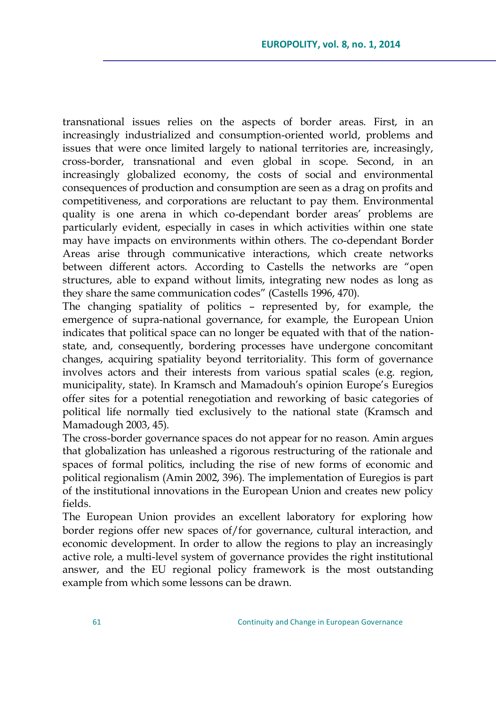transnational issues relies on the aspects of border areas. First, in an increasingly industrialized and consumption-oriented world, problems and issues that were once limited largely to national territories are, increasingly, cross-border, transnational and even global in scope. Second, in an increasingly globalized economy, the costs of social and environmental consequences of production and consumption are seen as a drag on profits and competitiveness, and corporations are reluctant to pay them. Environmental quality is one arena in which co-dependant border areas' problems are particularly evident, especially in cases in which activities within one state may have impacts on environments within others. The co-dependant Border Areas arise through communicative interactions, which create networks between different actors. According to Castells the networks are "open structures, able to expand without limits, integrating new nodes as long as they share the same communication codes" (Castells 1996, 470).

The changing spatiality of politics – represented by, for example, the emergence of supra-national governance, for example, the European Union indicates that political space can no longer be equated with that of the nationstate, and, consequently, bordering processes have undergone concomitant changes, acquiring spatiality beyond territoriality. This form of governance involves actors and their interests from various spatial scales (e.g. region, municipality, state). In Kramsch and Mamadouh"s opinion Europe"s Euregios offer sites for a potential renegotiation and reworking of basic categories of political life normally tied exclusively to the national state (Kramsch and Mamadough 2003, 45).

The cross-border governance spaces do not appear for no reason. Amin argues that globalization has unleashed a rigorous restructuring of the rationale and spaces of formal politics, including the rise of new forms of economic and political regionalism (Amin 2002, 396). The implementation of Euregios is part of the institutional innovations in the European Union and creates new policy fields.

The European Union provides an excellent laboratory for exploring how border regions offer new spaces of/for governance, cultural interaction, and economic development. In order to allow the regions to play an increasingly active role, a multi-level system of governance provides the right institutional answer, and the EU regional policy framework is the most outstanding example from which some lessons can be drawn.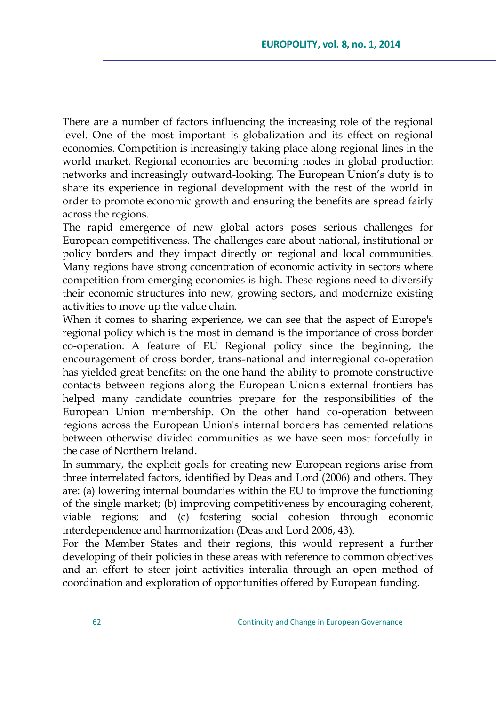There are a number of factors influencing the increasing role of the regional level. One of the most important is globalization and its effect on regional economies. Competition is increasingly taking place along regional lines in the world market. Regional economies are becoming nodes in global production networks and increasingly outward-looking. The European Union"s duty is to share its experience in regional development with the rest of the world in order to promote economic growth and ensuring the benefits are spread fairly across the regions.

The rapid emergence of new global actors poses serious challenges for European competitiveness. The challenges care about national, institutional or policy borders and they impact directly on regional and local communities. Many regions have strong concentration of economic activity in sectors where competition from emerging economies is high. These regions need to diversify their economic structures into new, growing sectors, and modernize existing activities to move up the value chain.

When it comes to sharing experience, we can see that the aspect of Europe's regional policy which is the most in demand is the importance of cross border co-operation: A feature of EU Regional policy since the beginning, the encouragement of cross border, trans-national and interregional co-operation has yielded great benefits: on the one hand the ability to promote constructive contacts between regions along the European Union's external frontiers has helped many candidate countries prepare for the responsibilities of the European Union membership. On the other hand co-operation between regions across the European Union's internal borders has cemented relations between otherwise divided communities as we have seen most forcefully in the case of Northern Ireland.

In summary, the explicit goals for creating new European regions arise from three interrelated factors, identified by Deas and Lord (2006) and others. They are: (a) lowering internal boundaries within the EU to improve the functioning of the single market; (b) improving competitiveness by encouraging coherent, viable regions; and (c) fostering social cohesion through economic interdependence and harmonization (Deas and Lord 2006, 43).

For the Member States and their regions, this would represent a further developing of their policies in these areas with reference to common objectives and an effort to steer joint activities interalia through an open method of coordination and exploration of opportunities offered by European funding.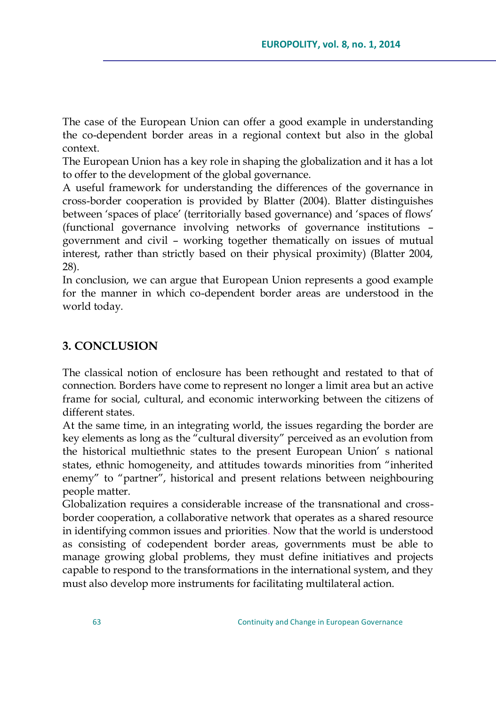The case of the European Union can offer a good example in understanding the co-dependent border areas in a regional context but also in the global context.

The European Union has a key role in shaping the globalization and it has a lot to offer to the development of the global governance.

A useful framework for understanding the differences of the governance in cross-border cooperation is provided by Blatter (2004). Blatter distinguishes between 'spaces of place' (territorially based governance) and 'spaces of flows' (functional governance involving networks of governance institutions – government and civil – working together thematically on issues of mutual interest, rather than strictly based on their physical proximity) (Blatter 2004, 28).

In conclusion, we can argue that European Union represents a good example for the manner in which co-dependent border areas are understood in the world today.

### **3. CONCLUSION**

The classical notion of enclosure has been rethought and restated to that of connection. Borders have come to represent no longer a limit area but an active frame for social, cultural, and economic interworking between the citizens of different states.

At the same time, in an integrating world, the issues regarding the border are key elements as long as the "cultural diversity" perceived as an evolution from the historical multiethnic states to the present European Union" s national states, ethnic homogeneity, and attitudes towards minorities from "inherited enemy" to "partner", historical and present relations between neighbouring people matter.

Globalization requires a considerable increase of the transnational and crossborder cooperation, a collaborative network that operates as a shared resource in identifying common issues and priorities. Now that the world is understood as consisting of codependent border areas, governments must be able to manage growing global problems, they must define initiatives and projects capable to respond to the transformations in the international system, and they must also develop more instruments for facilitating multilateral action.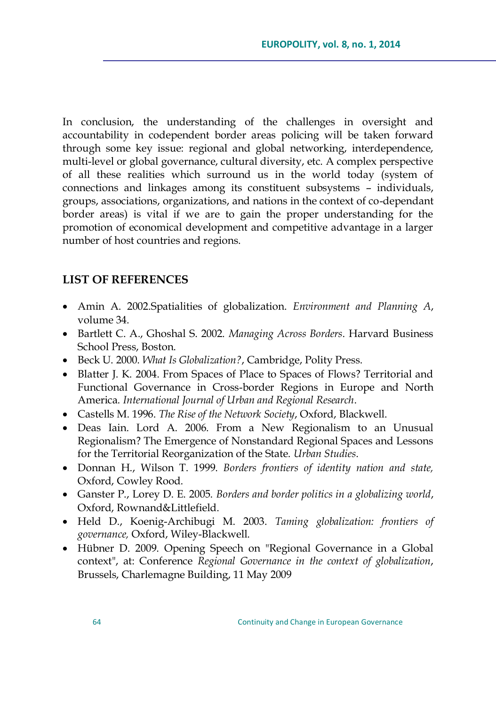In conclusion, the understanding of the challenges in oversight and accountability in codependent border areas policing will be taken forward through some key issue: regional and global networking, interdependence, multi-level or global governance, cultural diversity, etc. A complex perspective of all these realities which surround us in the world today (system of connections and linkages among its constituent subsystems – individuals, groups, associations, organizations, and nations in the context of co-dependant border areas) is vital if we are to gain the proper understanding for the promotion of economical development and competitive advantage in a larger number of host countries and regions.

#### **LIST OF REFERENCES**

- Amin A. 2002.Spatialities of globalization. *Environment and Planning A*, volume 34.
- Bartlett C. A., Ghoshal S. 2002. *Managing Across Borders*. Harvard Business School Press, Boston.
- Beck U. 2000. *What Is Globalization?*, Cambridge, Polity Press.
- Blatter J. K. 2004. From Spaces of Place to Spaces of Flows? Territorial and Functional Governance in Cross-border Regions in Europe and North America. *International Journal of Urban and Regional Research*.
- Castells M. 1996. *The Rise of the Network Society*, Oxford, Blackwell.
- Deas Iain. Lord A. 2006. From a New Regionalism to an Unusual Regionalism? The Emergence of Nonstandard Regional Spaces and Lessons for the Territorial Reorganization of the State. *Urban Studies*.
- Donnan H., Wilson T. 1999. *Borders frontiers of identity nation and state,* Oxford, Cowley Rood.
- Ganster P., Lorey D. E. 2005. *Borders and border politics in a globalizing world*, Oxford, Rownand&Littlefield.
- Held D., Koenig-Archibugi M. 2003. *Taming globalization: frontiers of governance,* Oxford, Wiley-Blackwell.
- Hübner D. 2009. Opening Speech on "Regional Governance in a Global context", at: Conference *Regional Governance in the context of globalization*, Brussels, Charlemagne Building, 11 May 2009